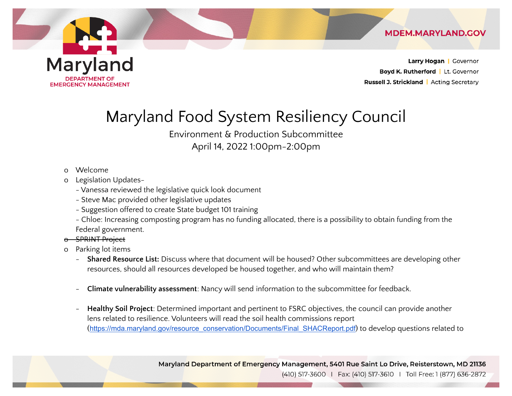

Maryland Food System Resiliency Council

 April 14, 2022 1:00pm-2:00pm Environment & Production Subcommittee

- o Welcome
- o Legislation Updates-
	- Vanessa reviewed the legislative quick look document
	- Steve Mac provided other legislative updates
	- Suggestion offered to create State budget 101 training
	- - Chloe: Increasing composting program has no funding allocated, there is a possibility to obtain funding from the Federal government.
- o SPRINT Project
- o Parking lot items
	- **Shared Resource List:** Discuss where that document will be housed? Other subcommittees are developing other resources, should all resources developed be housed together, and who will maintain them?
	- **Climate vulnerability assessment**: Nancy will send information to the subcommittee for feedback.
	- **Healthy Soil Project**: Determined important and pertinent to FSRC objectives, the council can provide another lens related to resilience. Volunteers will read the soil health commissions report ([https://mda.maryland.gov/resource\\_conservation/Documents/Final\\_SHACReport.pdf](https://mda.maryland.gov/resource_conservation/Documents/Final_SHACReport.pdf)) to develop questions related to

Maryland Department of Emergency Management, 5401 Rue Saint Lo Drive, Reisterstown, MD 21136

(410) 517-3600 | Fax: (410) 517-3610 | Toll Free: 1 (877) 636-2872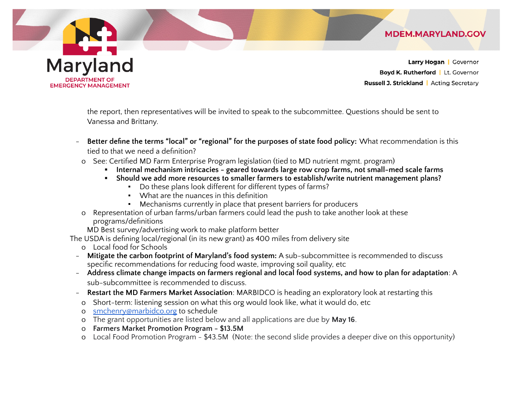Larry Hogan | Governor Boyd K. Rutherford | Lt. Governor Russell J. Strickland | Acting Secretary

**MDEM.MARYLAND.GOV** 

 the report, then representatives will be invited to speak to the subcommittee. Questions should be sent to Vanessa and Brittany.

- **Better define the terms "local" or "regional" for the purposes of state food policy:** What recommendation is this tied to that we need a definition?
- o See: Certified MD Farm Enterprise Program legislation (tied to MD nutrient mgmt. program)
	- **▪ Internal mechanism intricacies geared towards large row crop farms, not small-med scale farms**
	- **▪ Should we add more resources to smaller farmers to establish/write nutrient management plans?**
		- Do these plans look different for different types of farms?
		- What are the nuances in this definition
		- Mechanisms currently in place that present barriers for producers
- o Representation of urban farms/urban farmers could lead the push to take another look at these programs/definitions

MD Best survey/advertising work to make platform better

The USDA is defining local/regional (in its new grant) as 400 miles from delivery site

o Local food for Schools

Maryland

**DEPARTMENT OF** 

**EMERGENCY MANAGEMENT** 

- **Mitigate the carbon footprint of Maryland's food system:** A sub-subcommittee is recommended to discuss specific recommendations for reducing food waste, improving soil quality, etc
- Address climate change impacts on farmers regional and local food systems, and how to plan for adaptation: A sub-subcommittee is recommended to discuss.
- **Restart the MD Farmers Market Association**: MARBIDCO is heading an exploratory look at restarting this
- o Short-term: listening session on what this org would look like, what it would do, etc
- o [smchenry@marbidco.org](mailto:smchenry@marbidco.org) to schedule
- o The grant opportunities are listed below and all applications are due by **May 16**.
- o **Farmers Market Promotion Program \$13.5M**
- o Local Food Promotion Program \$43.5M (Note: the second slide provides a deeper dive on this opportunity)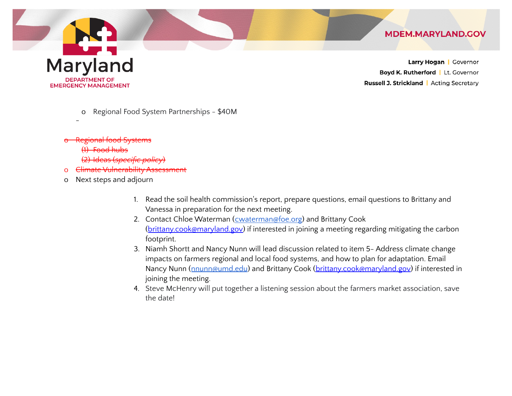Larry Hogan | Governor Boyd K. Rutherford | Lt. Governor **Russell J. Strickland | Acting Secretary** 

**MDEM.MARYLAND.GOV** 

o Regional Food System Partnerships - \$40M

o Regional food Systems

(1) Food hubs

(2) Ideas (*specific policy*)

o Climate Vulnerability Assessment

o Next steps and adjourn

- 1. Read the soil health commission's report, prepare questions, email questions to Brittany and Vanessa in preparation for the next meeting.
- 2. Contact Chloe Waterman (**cwaterman@foe.org**) and Brittany Cook (<u>brittany.cook@maryland.gov</u>) if interested in joining a meeting regarding mitigating the carbon footprint.
- 3. Niamh Shortt and Nancy Nunn will lead discussion related to item 5- Address climate change impacts on farmers regional and local food systems, and how to plan for adaptation. Email Nancy Nunn (<u>[nnunn@umd.edu](mailto:nnunn@umd.edu)</u>) and Brittany Cook (<u>brittany.cook@maryland.gov</u>) if interested in joining the meeting.
- 4. Steve McHenry will put together a listening session about the farmers market association, save the date!

## **Maryland DEPARTMENT OF**

**EMERGENCY MANAGEMENT** 

-